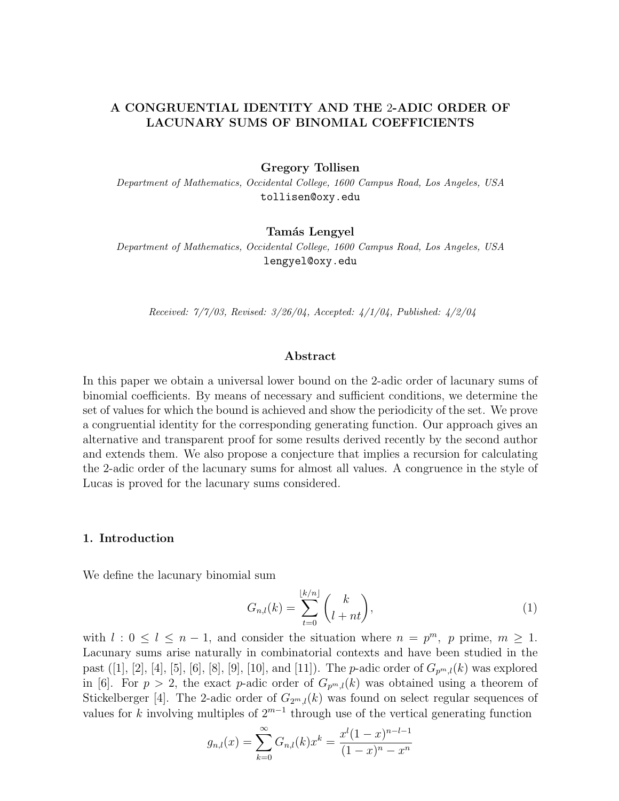## **A CONGRUENTIAL IDENTITY AND THE** 2**-ADIC ORDER OF LACUNARY SUMS OF BINOMIAL COEFFICIENTS**

#### **Gregory Tollisen**

Department of Mathematics, Occidental College, 1600 Campus Road, Los Angeles, USA tollisen@oxy.edu

## **Tam´as Lengyel**

Department of Mathematics, Occidental College, 1600 Campus Road, Los Angeles, USA lengyel@oxy.edu

Received: 7/7/03, Revised: 3/26/04, Accepted: 4/1/04, Published: 4/2/04

## **Abstract**

In this paper we obtain a universal lower bound on the 2-adic order of lacunary sums of binomial coefficients. By means of necessary and sufficient conditions, we determine the set of values for which the bound is achieved and show the periodicity of the set. We prove a congruential identity for the corresponding generating function. Our approach gives an alternative and transparent proof for some results derived recently by the second author and extends them. We also propose a conjecture that implies a recursion for calculating the 2-adic order of the lacunary sums for almost all values. A congruence in the style of Lucas is proved for the lacunary sums considered.

#### **1. Introduction**

We define the lacunary binomial sum

$$
G_{n,l}(k) = \sum_{t=0}^{\lfloor k/n \rfloor} {k \choose l+nt},\tag{1}
$$

with  $l : 0 \leq l \leq n-1$ , and consider the situation where  $n = p^m$ , p prime,  $m \geq 1$ . Lacunary sums arise naturally in combinatorial contexts and have been studied in the past ([1], [2], [4], [5], [6], [8], [9], [10], and [11]). The *p*-adic order of  $G_{p^m l}(k)$  was explored in [6]. For  $p > 2$ , the exact p-adic order of  $G_{p^m,l}(k)$  was obtained using a theorem of Stickelberger [4]. The 2-adic order of  $G_{2m,l}(k)$  was found on select regular sequences of values for k involving multiples of  $2^{m-1}$  through use of the vertical generating function

$$
g_{n,l}(x) = \sum_{k=0}^{\infty} G_{n,l}(k)x^{k} = \frac{x^{l}(1-x)^{n-l-1}}{(1-x)^{n} - x^{n}}
$$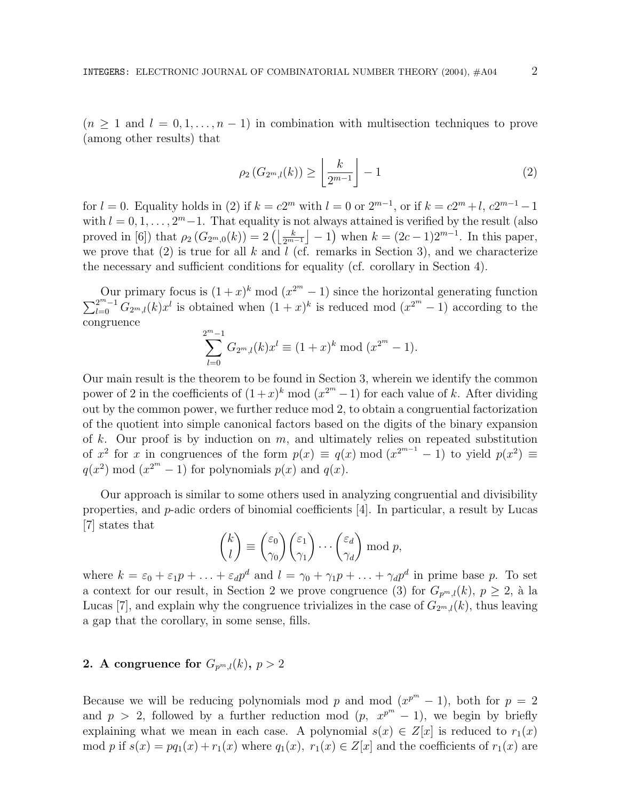$(n \geq 1 \text{ and } l = 0, 1, \ldots, n-1)$  in combination with multisection techniques to prove (among other results) that

$$
\rho_2\left(G_{2^m,l}(k)\right) \ge \left\lfloor \frac{k}{2^{m-1}} \right\rfloor - 1 \tag{2}
$$

for  $l = 0$ . Equality holds in (2) if  $k = c2^m$  with  $l = 0$  or  $2^{m-1}$ , or if  $k = c2^m + l$ ,  $c2^{m-1} - 1$ with  $l = 0, 1, \ldots, 2<sup>m</sup> - 1$ . That equality is not always attained is verified by the result (also proved in [6]) that  $\rho_2(G_{2^m,0}(k)) = 2(\lfloor \frac{k}{2^{m-1}} \rfloor - 1)$  when  $k = (2c - 1)2^{m-1}$ . In this paper, we prove that  $(2)$  is true for all k and l (cf. remarks in Section 3), and we characterize the necessary and sufficient conditions for equality (cf. corollary in Section 4).

Our primary focus is  $(1+x)^k \mod (x^{2^m}-1)$  since the horizontal generating function Our primary focus is  $(1+x)^k \mod (x^{2^m}-1)$  since the horizontal generating function  $\sum_{l=0}^{2^m-1} G_{2^m,l}(k)x^l$  is obtained when  $(1+x)^k$  is reduced mod  $(x^{2^m}-1)$  according to the congruence

$$
\sum_{l=0}^{2^m-1} G_{2^m,l}(k)x^l \equiv (1+x)^k \bmod (x^{2^m}-1).
$$

Our main result is the theorem to be found in Section 3, wherein we identify the common power of 2 in the coefficients of  $(1+x)^k \mod (x^{2^m}-1)$  for each value of k. After dividing out by the common power, we further reduce mod 2, to obtain a congruential factorization of the quotient into simple canonical factors based on the digits of the binary expansion of k. Our proof is by induction on  $m$ , and ultimately relies on repeated substitution of  $x^2$  for x in congruences of the form  $p(x) \equiv q(x) \mod (x^{2^{m-1}} - 1)$  to yield  $p(x^2) \equiv$  $q(x^2) \mod (x^{2^m} - 1)$  for polynomials  $p(x)$  and  $q(x)$ .

Our approach is similar to some others used in analyzing congruential and divisibility properties, and p-adic orders of binomial coefficients [4]. In particular, a result by Lucas [7] states that

$$
\binom{k}{l} \equiv \binom{\varepsilon_0}{\gamma_0} \binom{\varepsilon_1}{\gamma_1} \cdots \binom{\varepsilon_d}{\gamma_d} \bmod p,
$$

where  $k = \varepsilon_0 + \varepsilon_1 p + \ldots + \varepsilon_d p^d$  and  $l = \gamma_0 + \gamma_1 p + \ldots + \gamma_d p^d$  in prime base p. To set a context for our result, in Section 2 we prove congruence (3) for  $G_{p^m,l}(k)$ ,  $p \geq 2$ , à la Lucas [7], and explain why the congruence trivializes in the case of  $G_{2^m l}(k)$ , thus leaving a gap that the corollary, in some sense, fills.

## **2.** A congruence for  $G_{p^m l}(k)$ ,  $p > 2$

Because we will be reducing polynomials mod p and mod  $(x^{p^m} - 1)$ , both for  $p = 2$ and  $p > 2$ , followed by a further reduction mod  $(p, x^{p^m} - 1)$ , we begin by briefly explaining what we mean in each case. A polynomial  $s(x) \in Z[x]$  is reduced to  $r_1(x)$ mod p if  $s(x) = pq_1(x) + r_1(x)$  where  $q_1(x), r_1(x) \in Z[x]$  and the coefficients of  $r_1(x)$  are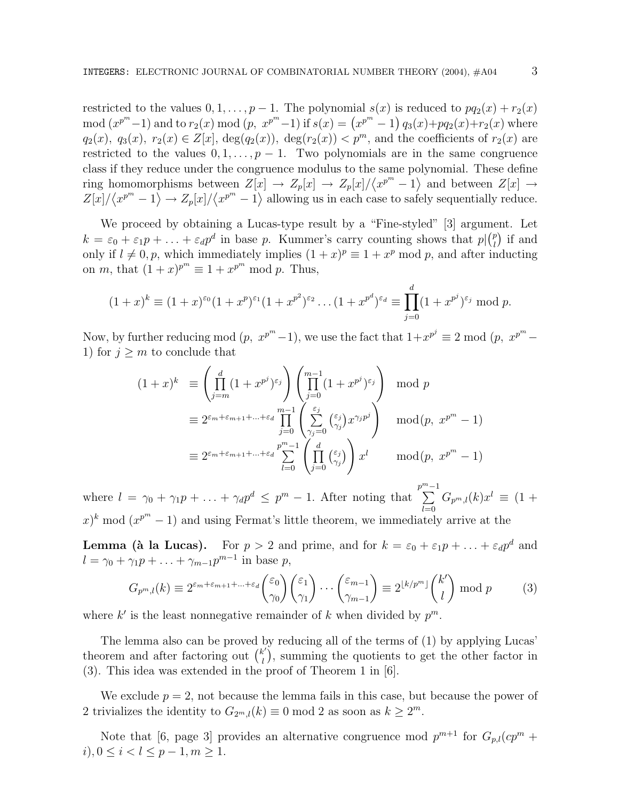restricted to the values  $0, 1, \ldots, p-1$ . The polynomial  $s(x)$  is reduced to  $pq_2(x) + r_2(x)$ mod  $(x^{p^m}-1)$  and to  $r_2(x)$  mod  $(p, x^{p^m}-1)$  if  $s(x) = (x^{p^m}-1) q_3(x)+pq_2(x)+r_2(x)$  where  $q_2(x)$ ,  $q_3(x)$ ,  $r_2(x) \in Z[x]$ ,  $\deg(q_2(x))$ ,  $\deg(r_2(x)) < p^m$ , and the coefficients of  $r_2(x)$  are restricted to the values  $0, 1, \ldots, p-1$ . Two polynomials are in the same congruence class if they reduce under the congruence modulus to the same polynomial. These define ring homomorphisms between  $Z[x] \to Z_p[x] \to Z_p[x]/\langle x^{p^m}-1 \rangle$  and between  $Z[x] \to Z_p[x]$  $Z[x]/\langle x^{p^m}-1\rangle \to Z_p[x]/\langle x^{p^m}-1\rangle$  allowing us in each case to safely sequentially reduce.

We proceed by obtaining a Lucas-type result by a "Fine-styled" [3] argument. Let  $k = \varepsilon_0 + \varepsilon_1 p + \ldots + \varepsilon_d p^d$  in base p. Kummer's carry counting shows that  $p\binom{p}{l}$  if and only if  $l \neq 0, p$ , which immediately implies  $(1 + x)^p \equiv 1 + x^p \mod p$ , and after inducting on *m*, that  $(1+x)^{p^m} \equiv 1 + x^{p^m} \mod p$ . Thus,

$$
(1+x)^k \equiv (1+x)^{\varepsilon_0}(1+x^p)^{\varepsilon_1}(1+x^{p^2})^{\varepsilon_2}\dots(1+x^{p^d})^{\varepsilon_d} \equiv \prod_{j=0}^d (1+x^{p^j})^{\varepsilon_j} \mod p.
$$

Now, by further reducing mod  $(p, x^{p^m}-1)$ , we use the fact that  $1+x^{p^j} \equiv 2 \mod (p, x^{p^m}-1)$ 1) for  $j > m$  to conclude that

$$
(1+x)^k \equiv \left(\prod_{j=m}^d (1+x^{p^j})^{\varepsilon_j}\right) \left(\prod_{j=0}^{m-1} (1+x^{p^j})^{\varepsilon_j}\right) \mod p
$$
  

$$
\equiv 2^{\varepsilon_m+\varepsilon_{m+1}+\ldots+\varepsilon_d} \prod_{j=0}^{m-1} \left(\sum_{\gamma_j=0}^{\varepsilon_j} \binom{\varepsilon_j}{\gamma_j} x^{\gamma_j p^j}\right) \mod (p, x^{p^m} - 1)
$$
  

$$
\equiv 2^{\varepsilon_m+\varepsilon_{m+1}+\ldots+\varepsilon_d} \sum_{l=0}^{p^m-1} \left(\prod_{j=0}^d \binom{\varepsilon_j}{\gamma_j}\right) x^l \mod (p, x^{p^m} - 1)
$$

where  $l = \gamma_0 + \gamma_1 p + \ldots + \gamma_d p^d \leq p^m - 1$ . After noting that  $\sum^{m-1}$  $_{l=0}$  $G_{p^m,l}(k)x^l \equiv (1 +$  $(x^{p^m}-1)$  and using Fermat's little theorem, we immediately arrive at the

**Lemma (à la Lucas).** For  $p > 2$  and prime, and for  $k = \varepsilon_0 + \varepsilon_1 p + \ldots + \varepsilon_d p^d$  and  $l = \gamma_0 + \gamma_1 p + \ldots + \gamma_{m-1} p^{m-1}$  in base p,

$$
G_{p^m,l}(k) \equiv 2^{\varepsilon_m + \varepsilon_{m+1} + \dots + \varepsilon_d} \binom{\varepsilon_0}{\gamma_0} \binom{\varepsilon_1}{\gamma_1} \cdots \binom{\varepsilon_{m-1}}{\gamma_{m-1}} \equiv 2^{\lfloor k/p^m \rfloor} \binom{k'}{l} \bmod p \tag{3}
$$

where k' is the least nonnegative remainder of k when divided by  $p^m$ .

The lemma also can be proved by reducing all of the terms of (1) by applying Lucas' theorem and after factoring out  $\binom{k'}{l}$ , summing the quotients to get the other factor in (3). This idea was extended in the proof of Theorem 1 in [6].

We exclude  $p = 2$ , not because the lemma fails in this case, but because the power of 2 trivializes the identity to  $G_{2^m,l}(k) \equiv 0 \mod 2$  as soon as  $k \geq 2^m$ .

Note that [6, page 3] provides an alternative congruence mod  $p^{m+1}$  for  $G_{p,l}(cp^m +$  $i, 0 \leq i < l \leq p-1, m \geq 1.$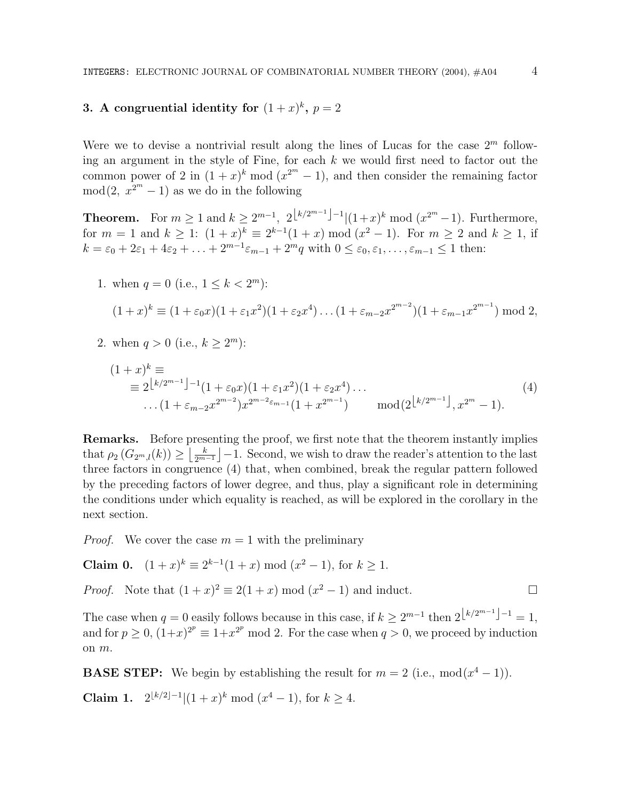# **3.** A congruential identity for  $(1+x)^k$ ,  $p=2$

Were we to devise a nontrivial result along the lines of Lucas for the case  $2^m$  following an argument in the style of Fine, for each k we would first need to factor out the common power of 2 in  $(1+x)^k \mod (x^{2^m}-1)$ , and then consider the remaining factor  $mod(2, x^{2^m} - 1)$  as we do in the following

**Theorem.** For  $m \ge 1$  and  $k \ge 2^{m-1}$ ,  $2^{\lfloor k/2^{m-1} \rfloor - 1} |(1+x)^k \mod (x^{2^m} - 1)$ . Furthermore, for  $m = 1$  and  $k \ge 1$ :  $(1+x)^k \equiv 2^{k-1}(1+x) \mod (x^2-1)$ . For  $m \ge 2$  and  $k \ge 1$ , if  $k = \varepsilon_0 + 2\varepsilon_1 + 4\varepsilon_2 + \ldots + 2^{m-1}\varepsilon_{m-1} + 2^m q$  with  $0 \le \varepsilon_0, \varepsilon_1, \ldots, \varepsilon_{m-1} \le 1$  then:

1. when 
$$
q = 0
$$
 (i.e.,  $1 \le k < 2^m$ ):

$$
(1+x)^k \equiv (1+\varepsilon_0 x)(1+\varepsilon_1 x^2)(1+\varepsilon_2 x^4)\dots(1+\varepsilon_{m-2} x^{2^{m-2}})(1+\varepsilon_{m-1} x^{2^{m-1}}) \bmod 2,
$$

2. when  $q > 0$  (i.e.,  $k \geq 2^m$ ):

$$
(1+x)^k \equiv
$$
  
\n
$$
\equiv 2^{\lfloor k/2^{m-1} \rfloor - 1} (1 + \varepsilon_0 x)(1 + \varepsilon_1 x^2)(1 + \varepsilon_2 x^4) \dots
$$
  
\n
$$
\dots (1 + \varepsilon_{m-2} x^{2^{m-2}}) x^{2^{m-2} \varepsilon_{m-1}} (1 + x^{2^{m-1}}) \qquad \text{mod} (2^{\lfloor k/2^{m-1} \rfloor}, x^{2^m} - 1).
$$
\n
$$
(4)
$$

**Remarks.** Before presenting the proof, we first note that the theorem instantly implies that  $\rho_2(G_{2^m,l}(k)) \geq \left\lfloor \frac{k}{2^{m-1}} \right\rfloor - 1$ . Second, we wish to draw the reader's attention to the last three factors in congruence (4) that, when combined, break the regular pattern followed by the preceding factors of lower degree, and thus, play a significant role in determining the conditions under which equality is reached, as will be explored in the corollary in the next section.

*Proof.* We cover the case  $m = 1$  with the preliminary

**Claim 0.**  $(1+x)^k \equiv 2^{k-1}(1+x) \mod (x^2-1)$ , for  $k \ge 1$ .

*Proof.* Note that  $(1+x)^2 \equiv 2(1+x) \mod (x^2-1)$  and induct.

The case when  $q = 0$  easily follows because in this case, if  $k > 2^{m-1}$  then  $2^{\lfloor k/2^{m-1} \rfloor - 1} = 1$ , and for  $p \ge 0$ ,  $(1+x)^{2^p} \equiv 1+x^{2^p} \mod 2$ . For the case when  $q > 0$ , we proceed by induction on m.

**BASE STEP:** We begin by establishing the result for  $m = 2$  (i.e.,  $mod(x^4 - 1)$ ).

**Claim 1.**  $2^{\lfloor k/2 \rfloor - 1} | (1 + x)^k \bmod (x^4 - 1)$ , for  $k > 4$ .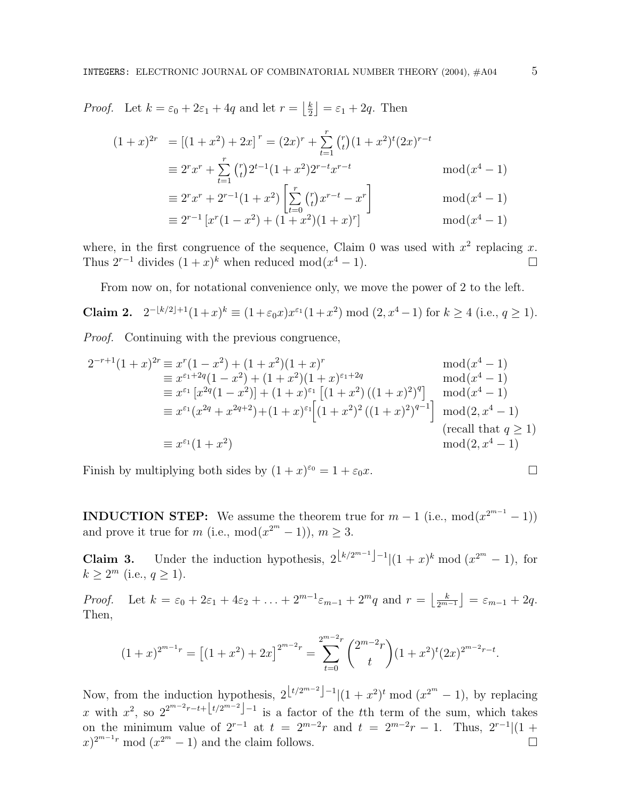*Proof.* Let  $k = \varepsilon_0 + 2\varepsilon_1 + 4q$  and let  $r = \left\lfloor \frac{k}{2} \right\rfloor = \varepsilon_1 + 2q$ . Then

$$
(1+x)^{2r} = [(1+x^2) + 2x]^r = (2x)^r + \sum_{t=1}^r {r \choose t} (1+x^2)^t (2x)^{r-t}
$$
  
\n
$$
\equiv 2^r x^r + \sum_{t=1}^r {r \choose t} 2^{t-1} (1+x^2) 2^{r-t} x^{r-t} \mod (x^4 - 1)
$$
  
\n
$$
\equiv 2^r x^r + 2^{r-1} (1+x^2) \left[ \sum_{t=0}^r {r \choose t} x^{r-t} - x^r \right] \mod (x^4 - 1)
$$
  
\n
$$
\equiv 2^{r-1} [x^r (1-x^2) + (1+x^2) (1+x)^r]
$$

where, in the first congruence of the sequence, Claim 0 was used with  $x^2$  replacing x. Thus  $2^{r-1}$  divides  $(1+x)^k$  when reduced mod $(x^4-1)$ .  $\Box$ 

From now on, for notational convenience only, we move the power of 2 to the left.

**Claim 2.** 
$$
2^{-\lfloor k/2 \rfloor + 1} (1 + x)^k \equiv (1 + \varepsilon_0 x) x^{\varepsilon_1} (1 + x^2) \mod (2, x^4 - 1)
$$
 for  $k \ge 4$  (i.e.,  $q \ge 1$ ).

Proof. Continuing with the previous congruence,

$$
2^{-r+1}(1+x)^{2r} \equiv x^r(1-x^2) + (1+x^2)(1+x)^r \mod (x^4-1)
$$
  
\n
$$
\equiv x^{\varepsilon_1+2q}(1-x^2) + (1+x^2)(1+x)^{\varepsilon_1+2q} \mod (x^4-1)
$$
  
\n
$$
\equiv x^{\varepsilon_1}[x^{2q}(1-x^2)] + (1+x)^{\varepsilon_1}[(1+x^2)((1+x)^2)^q] \mod (x^4-1)
$$
  
\n
$$
\equiv x^{\varepsilon_1}(x^{2q}+x^{2q+2}) + (1+x)^{\varepsilon_1}[(1+x^2)^2((1+x)^2)^{q-1}] \mod (2, x^4-1)
$$
  
\n
$$
\equiv x^{\varepsilon_1}(1+x^2) \mod (2, x^4-1)
$$
  
\n
$$
\equiv x^{\varepsilon_1}(1+x^2) \mod (2, x^4-1)
$$

Finish by multiplying both sides by  $(1+x)^{\epsilon_0} = 1 + \epsilon_0 x$ .

**INDUCTION STEP:** We assume the theorem true for  $m-1$  (i.e.,  $mod(x^{2^{m-1}}-1)$ ) and prove it true for m (i.e., mod( $x^{2^m} - 1$ )),  $m \ge 3$ .

**Claim 3.** Under the induction hypothesis,  $2^{\lfloor k/2^{m-1} \rfloor - 1} |(1 + x)^k \bmod (x^{2^m} - 1)$ , for  $k > 2^m$  (i.e.,  $q > 1$ ).

Proof. Let  $k = \varepsilon_0 + 2\varepsilon_1 + 4\varepsilon_2 + \ldots + 2^{m-1}\varepsilon_{m-1} + 2^m q$  and  $r = \left\lfloor \frac{k}{2^{m-1}} \right\rfloor = \varepsilon_{m-1} + 2q$ . Then,

$$
(1+x)^{2^{m-1}r} = \left[ (1+x^2) + 2x \right]^{2^{m-2}r} = \sum_{t=0}^{2^{m-2}r} {2^{m-2}r \choose t} (1+x^2)^t (2x)^{2^{m-2}r-t}.
$$

Now, from the induction hypothesis,  $2\lfloor t/2^{m-2}\rfloor-1$  |(1 +  $x^2$ )<sup>t</sup> mod ( $x^{2^m}-1$ ), by replacing x with  $x^2$ , so  $2^{2^{m-2}r-t+1}$ t<sup>t</sup>/2<sup>*m*−2</sup> is a factor of the tth term of the sum, which takes on the minimum value of  $2^{r-1}$  at  $t = 2^{m-2}r$  and  $t = 2^{m-2}r - 1$ . Thus,  $2^{r-1}$  $(1 +$  $(x^{2^m}-1)$  and the claim follows.  $\square$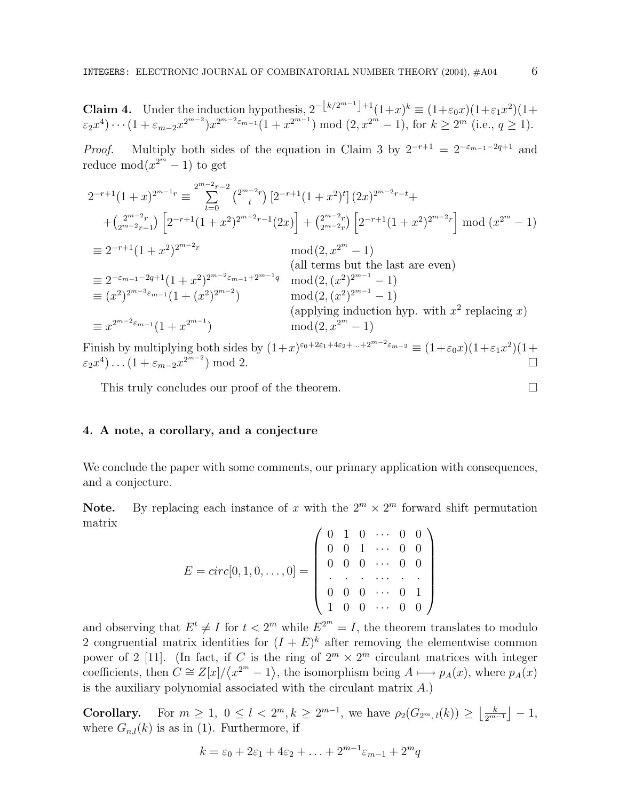**Claim 4.** Under the induction hypothesis,  $2^{-\lfloor k/2^{m-1}\rfloor+1}(1+x)^k \equiv (1+\varepsilon_0x)(1+\varepsilon_1x^2)(1+\varepsilon_1x^2)$  $\varepsilon_2 x^4$ ) ···  $(1 + \varepsilon_{m-2} x^{2^{m-2}}) x^{2^{m-2}\varepsilon_{m-1}} (1 + x^{2^{m-1}}) \bmod (2, x^{2^m} - 1)$ , for  $k \ge 2^m$  (i.e.,  $q \ge 1$ ).

*Proof.* Multiply both sides of the equation in Claim 3 by  $2^{-r+1} = 2^{-\varepsilon_{m-1}-2q+1}$  and reduce  $mod(x^{2^m}-1)$  to get

$$
2^{-r+1}(1+x)^{2^{m-1}r} \equiv \sum_{t=0}^{2^{m-2}r-2} {\binom{2^{m-2}r}{t}} [2^{-r+1}(1+x^2)^t] (2x)^{2^{m-2}r-t} +
$$
  
+
$$
{\binom{2^{m-2}r}{2^{m-2}r-1}} \left[ 2^{-r+1}(1+x^2)^{2^{m-2}r-1}(2x) \right] + {\binom{2^{m-2}r}{2^{m-2}r}} \left[ 2^{-r+1}(1+x^2)^{2^{m-2}r} \right] \bmod (x^{2^m} - 1)
$$
  
= 
$$
2^{-r+1}(1+x^2)^{2^{m-2}r} \bmod (2, x^{2^m} - 1)
$$
  
= 
$$
2^{-\varepsilon_{m-1}-2q+1}(1+x^2)^{2^{m-2}\varepsilon_{m-1}+2^{m-1}q} \bmod (2, (x^2)^{2^{m-1}} - 1)
$$
  
= 
$$
(x^2)^{2^{m-3}\varepsilon_{m-1}}(1+(x^2)^{2^{m-2}}) \bmod (2, (x^2)^{2^{m-1}} - 1)
$$
  
= 
$$
x^{2^{m-2}\varepsilon_{m-1}}(1+x^{2^{m-1}}) \bmod (2, x^{2^m} - 1)
$$
  
= 
$$
x^{2^{m-2}\varepsilon_{m-1}}(1+x^{2^{m-1}}) \bmod (2, x^{2^m} - 1)
$$
  
mod 
$$
(2, x^{2^m} - 1)
$$

Finish by multiplying both sides by  $(1+x)^{\epsilon_0+2\epsilon_1+4\epsilon_2+\ldots+2^{m-2}\epsilon_{m-2}} \equiv (1+\epsilon_0x)(1+\epsilon_1x^2)(1+\epsilon_2x)$  $\varepsilon_2 x^4$ )...(1 +  $\varepsilon_{m-2} x^{2^{m-2}}$ ) mod 2.

This truly concludes our proof of the theorem.  $\Box$ 

## **4. A note, a corollary, and a conjecture**

We conclude the paper with some comments, our primary application with consequences, and a conjecture.

**Note.** By replacing each instance of x with the  $2^m \times 2^m$  forward shift permutation matrix

$$
E = circ[0, 1, 0, \dots, 0] = \begin{pmatrix} 0 & 1 & 0 & \cdots & 0 & 0 \\ 0 & 0 & 1 & \cdots & 0 & 0 \\ 0 & 0 & 0 & \cdots & 0 & 0 \\ \vdots & \vdots & \vdots & \ddots & \vdots & \vdots \\ 0 & 0 & 0 & \cdots & 0 & 1 \\ 1 & 0 & 0 & \cdots & 0 & 0 \end{pmatrix}
$$

and observing that  $E^t \neq I$  for  $t < 2^m$  while  $E^{2^m} = I$ , the theorem translates to modulo 2 congruential matrix identities for  $(I + E)^k$  after removing the elementwise common power of 2 [11]. (In fact, if C is the ring of  $2^m \times 2^m$  circulant matrices with integer coefficients, then  $C \cong \mathbb{Z}[x]/\langle x^{2^m}-1 \rangle$ , the isomorphism being  $A \longmapsto p_A(x)$ , where  $p_A(x)$ is the auxiliary polynomial associated with the circulant matrix A.)

**Corollary.** For  $m \geq 1$ ,  $0 \leq l < 2^m$ ,  $k \geq 2^{m-1}$ , we have  $\rho_2(G_{2^m, l}(k)) \geq \left\lfloor \frac{k}{2^{m-1}} \right\rfloor - 1$ , where  $G_{n,l}(k)$  is as in (1). Furthermore, if

$$
k = \varepsilon_0 + 2\varepsilon_1 + 4\varepsilon_2 + \ldots + 2^{m-1}\varepsilon_{m-1} + 2^m q
$$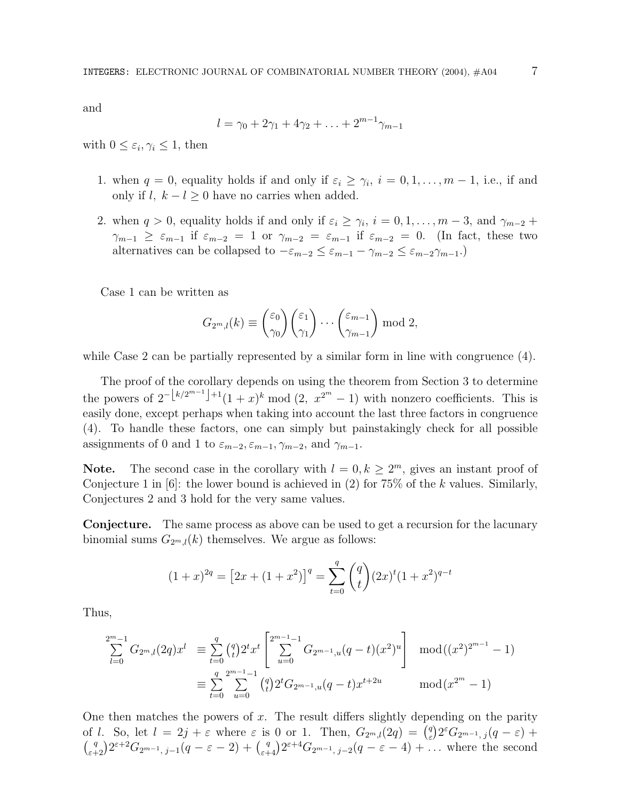and

$$
l = \gamma_0 + 2\gamma_1 + 4\gamma_2 + \ldots + 2^{m-1}\gamma_{m-1}
$$

with  $0 \leq \varepsilon_i, \gamma_i \leq 1$ , then

- 1. when  $q = 0$ , equality holds if and only if  $\varepsilon_i \geq \gamma_i$ ,  $i = 0, 1, \ldots, m 1$ , i.e., if and only if l,  $k - l \geq 0$  have no carries when added.
- 2. when  $q > 0$ , equality holds if and only if  $\varepsilon_i \geq \gamma_i$ ,  $i = 0, 1, \ldots, m-3$ , and  $\gamma_{m-2}$  +  $\gamma_{m-1} \geq \varepsilon_{m-1}$  if  $\varepsilon_{m-2} = 1$  or  $\gamma_{m-2} = \varepsilon_{m-1}$  if  $\varepsilon_{m-2} = 0$ . (In fact, these two alternatives can be collapsed to  $-\varepsilon_{m-2} \leq \varepsilon_{m-1} - \gamma_{m-2} \leq \varepsilon_{m-2}\gamma_{m-1}$ .)

Case 1 can be written as

$$
G_{2^m,l}(k) \equiv {\binom{\varepsilon_0}{\gamma_0}} {\binom{\varepsilon_1}{\gamma_1}} \cdots {\binom{\varepsilon_{m-1}}{\gamma_{m-1}}} \bmod 2,
$$

while Case 2 can be partially represented by a similar form in line with congruence  $(4)$ .

The proof of the corollary depends on using the theorem from Section 3 to determine the powers of  $2^{-\lfloor k/2^{m-1}\rfloor+1}(1 + x)^k \mod (2, x^{2^m} - 1)$  with nonzero coefficients. This is easily done, except perhaps when taking into account the last three factors in congruence (4). To handle these factors, one can simply but painstakingly check for all possible assignments of 0 and 1 to  $\varepsilon_{m-2}, \varepsilon_{m-1}, \gamma_{m-2}$ , and  $\gamma_{m-1}$ .

**Note.** The second case in the corollary with  $l = 0, k \geq 2^m$ , gives an instant proof of Conjecture 1 in  $[6]$ : the lower bound is achieved in  $(2)$  for 75% of the k values. Similarly, Conjectures 2 and 3 hold for the very same values.

**Conjecture.** The same process as above can be used to get a recursion for the lacunary binomial sums  $G_{2^m,l}(k)$  themselves. We argue as follows:

$$
(1+x)^{2q} = [2x + (1+x^2)]^q = \sum_{t=0}^q {q \choose t} (2x)^t (1+x^2)^{q-t}
$$

Thus,

$$
\sum_{l=0}^{2^m-1} G_{2^m,l}(2q)x^l \equiv \sum_{t=0}^q {q \choose t} 2^t x^t \left[ \sum_{u=0}^{2^{m-1}-1} G_{2^{m-1},u}(q-t)(x^2)^u \right] \mod ((x^2)^{2^{m-1}}-1)
$$
  

$$
\equiv \sum_{t=0}^q \sum_{u=0}^{2^{m-1}-1} {q \choose t} 2^t G_{2^{m-1},u}(q-t)x^{t+2u} \mod (x^{2^m}-1)
$$

One then matches the powers of  $x$ . The result differs slightly depending on the parity of l. So, let  $l = 2j + \varepsilon$  where  $\varepsilon$  is 0 or 1. Then,  $G_{2^m,l}(2q) = \binom{q}{\varepsilon} 2^{\varepsilon} G_{2^{m-1},j}(q - \varepsilon)$  +  $\binom{q}{\varepsilon+2} 2^{\varepsilon+2} G_{2^{m-1}, j-1}(q-\varepsilon-2) + \binom{q}{\varepsilon+4} 2^{\varepsilon+4} G_{2^{m-1}, j-2}(q-\varepsilon-4) + \dots$  where the second